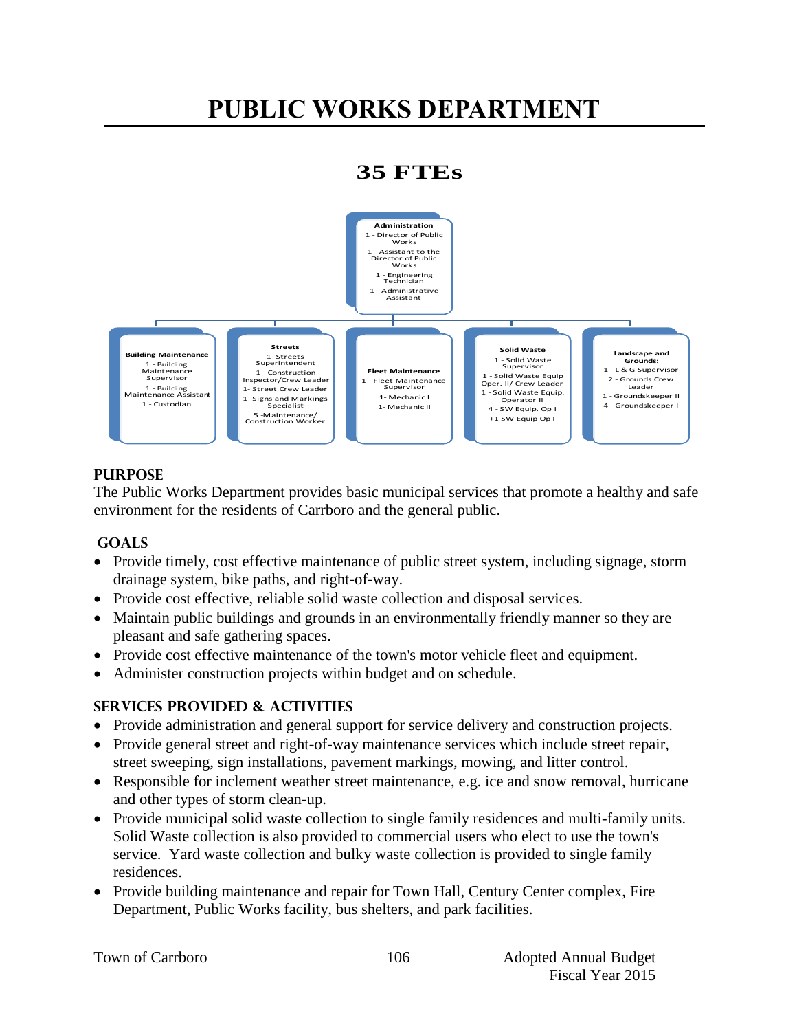# **PUBLIC WORKS DEPARTMENT**

## **35 FTEs**



## **PURPOSE**

The Public Works Department provides basic municipal services that promote a healthy and safe environment for the residents of Carrboro and the general public.

## **GOALS**

- Provide timely, cost effective maintenance of public street system, including signage, storm drainage system, bike paths, and right-of-way.
- Provide cost effective, reliable solid waste collection and disposal services.
- Maintain public buildings and grounds in an environmentally friendly manner so they are pleasant and safe gathering spaces.
- Provide cost effective maintenance of the town's motor vehicle fleet and equipment.
- Administer construction projects within budget and on schedule.

## **Services PROVIDED & ACTIVITIES**

- Provide administration and general support for service delivery and construction projects.
- Provide general street and right-of-way maintenance services which include street repair, street sweeping, sign installations, pavement markings, mowing, and litter control.
- Responsible for inclement weather street maintenance, e.g. ice and snow removal, hurricane and other types of storm clean-up.
- Provide municipal solid waste collection to single family residences and multi-family units. Solid Waste collection is also provided to commercial users who elect to use the town's service. Yard waste collection and bulky waste collection is provided to single family residences.
- Provide building maintenance and repair for Town Hall, Century Center complex, Fire Department, Public Works facility, bus shelters, and park facilities.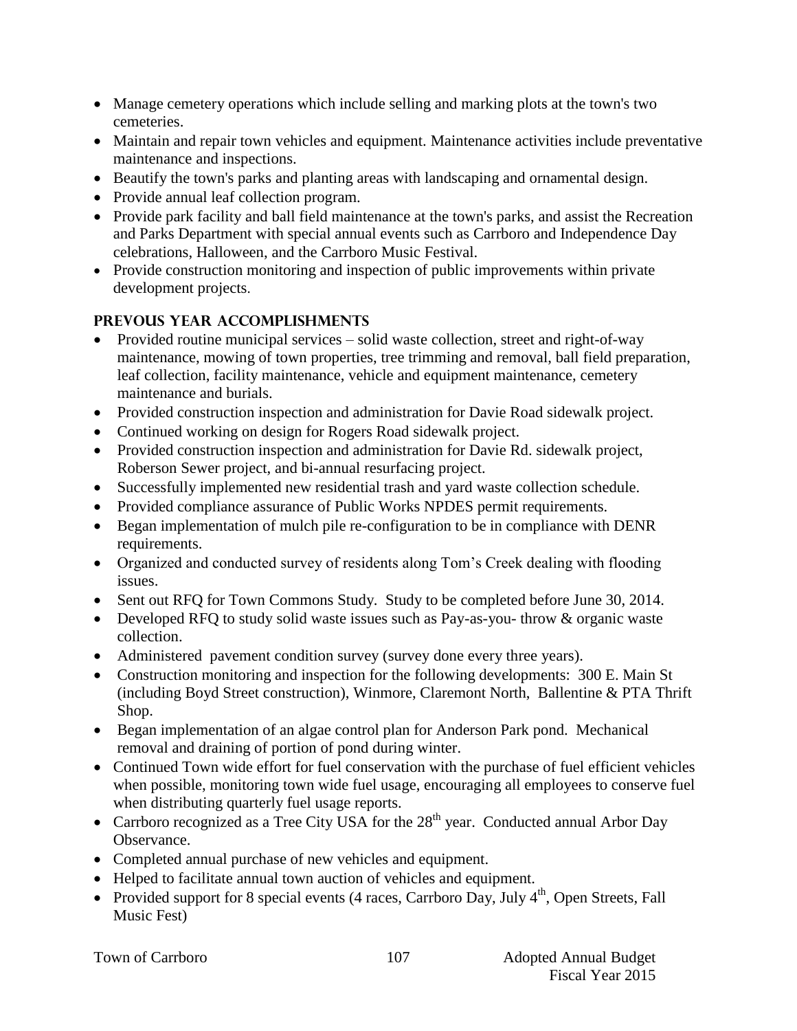- Manage cemetery operations which include selling and marking plots at the town's two cemeteries.
- Maintain and repair town vehicles and equipment. Maintenance activities include preventative maintenance and inspections.
- Beautify the town's parks and planting areas with landscaping and ornamental design.
- Provide annual leaf collection program.
- Provide park facility and ball field maintenance at the town's parks, and assist the Recreation and Parks Department with special annual events such as Carrboro and Independence Day celebrations, Halloween, and the Carrboro Music Festival.
- Provide construction monitoring and inspection of public improvements within private development projects.

## **PREVOUS YEAR ACCOMPLISHMENTS**

- Provided routine municipal services solid waste collection, street and right-of-way maintenance, mowing of town properties, tree trimming and removal, ball field preparation, leaf collection, facility maintenance, vehicle and equipment maintenance, cemetery maintenance and burials.
- Provided construction inspection and administration for Davie Road sidewalk project.
- Continued working on design for Rogers Road sidewalk project.
- Provided construction inspection and administration for Davie Rd. sidewalk project, Roberson Sewer project, and bi-annual resurfacing project.
- Successfully implemented new residential trash and yard waste collection schedule.
- Provided compliance assurance of Public Works NPDES permit requirements.
- Began implementation of mulch pile re-configuration to be in compliance with DENR requirements.
- Organized and conducted survey of residents along Tom's Creek dealing with flooding issues.
- Sent out RFQ for Town Commons Study. Study to be completed before June 30, 2014.
- Developed RFQ to study solid waste issues such as Pay-as-you- throw & organic waste collection.
- Administered pavement condition survey (survey done every three years).
- Construction monitoring and inspection for the following developments: 300 E. Main St (including Boyd Street construction), Winmore, Claremont North, Ballentine & PTA Thrift Shop.
- Began implementation of an algae control plan for Anderson Park pond. Mechanical removal and draining of portion of pond during winter.
- Continued Town wide effort for fuel conservation with the purchase of fuel efficient vehicles when possible, monitoring town wide fuel usage, encouraging all employees to conserve fuel when distributing quarterly fuel usage reports.
- Carrboro recognized as a Tree City USA for the  $28<sup>th</sup>$  year. Conducted annual Arbor Day Observance.
- Completed annual purchase of new vehicles and equipment.
- Helped to facilitate annual town auction of vehicles and equipment.
- Provided support for 8 special events (4 races, Carrboro Day, July  $4<sup>th</sup>$ , Open Streets, Fall Music Fest)

|  |  | Town of Carrboro |
|--|--|------------------|
|--|--|------------------|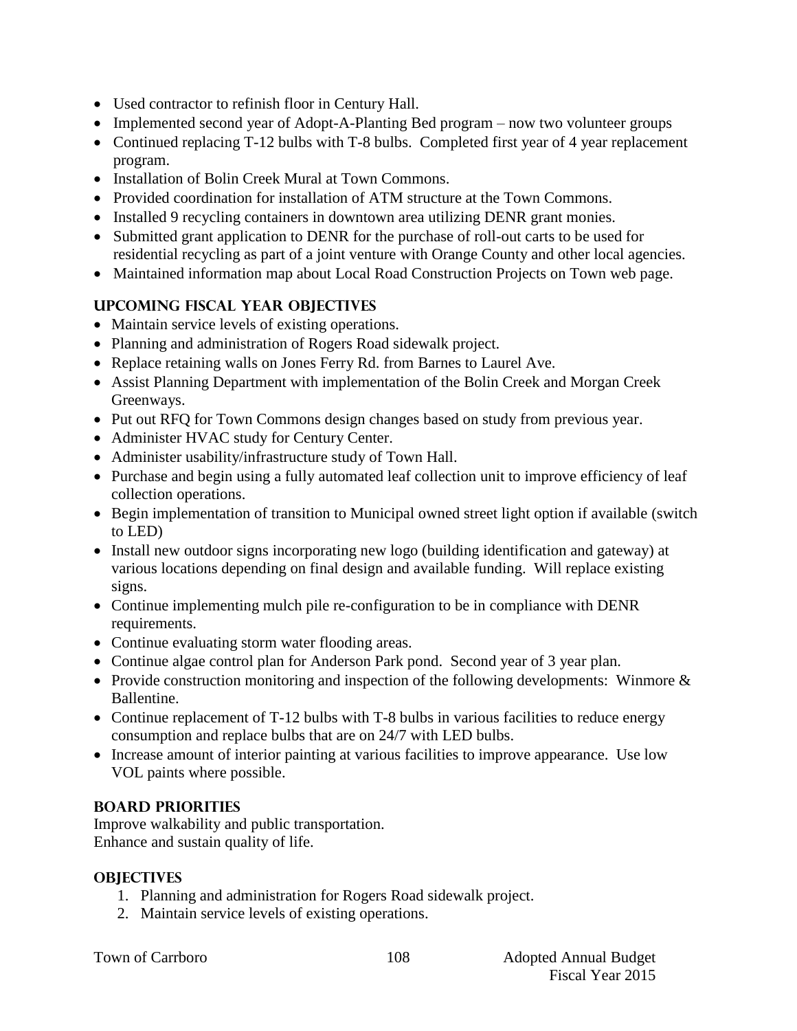- Used contractor to refinish floor in Century Hall.
- Implemented second year of Adopt-A-Planting Bed program now two volunteer groups
- Continued replacing T-12 bulbs with T-8 bulbs. Completed first year of 4 year replacement program.
- Installation of Bolin Creek Mural at Town Commons.
- Provided coordination for installation of ATM structure at the Town Commons.
- Installed 9 recycling containers in downtown area utilizing DENR grant monies.
- Submitted grant application to DENR for the purchase of roll-out carts to be used for residential recycling as part of a joint venture with Orange County and other local agencies.
- Maintained information map about Local Road Construction Projects on Town web page.

## **UPCOMING FISCAL YEAR OBJECTIVES**

- Maintain service levels of existing operations.
- Planning and administration of Rogers Road sidewalk project.
- Replace retaining walls on Jones Ferry Rd. from Barnes to Laurel Ave.
- Assist Planning Department with implementation of the Bolin Creek and Morgan Creek Greenways.
- Put out RFQ for Town Commons design changes based on study from previous year.
- Administer HVAC study for Century Center.
- Administer usability/infrastructure study of Town Hall.
- Purchase and begin using a fully automated leaf collection unit to improve efficiency of leaf collection operations.
- Begin implementation of transition to Municipal owned street light option if available (switch to LED)
- Install new outdoor signs incorporating new logo (building identification and gateway) at various locations depending on final design and available funding. Will replace existing signs.
- Continue implementing mulch pile re-configuration to be in compliance with DENR requirements.
- Continue evaluating storm water flooding areas.
- Continue algae control plan for Anderson Park pond. Second year of 3 year plan.
- Provide construction monitoring and inspection of the following developments: Winmore  $\&$ Ballentine.
- Continue replacement of T-12 bulbs with T-8 bulbs in various facilities to reduce energy consumption and replace bulbs that are on 24/7 with LED bulbs.
- Increase amount of interior painting at various facilities to improve appearance. Use low VOL paints where possible.

## **BOARD PRIORITIES**

Improve walkability and public transportation. Enhance and sustain quality of life.

## **OBJECTIVES**

- 1. Planning and administration for Rogers Road sidewalk project.
- 2. Maintain service levels of existing operations.

|  |  | Town of Carrboro |
|--|--|------------------|
|--|--|------------------|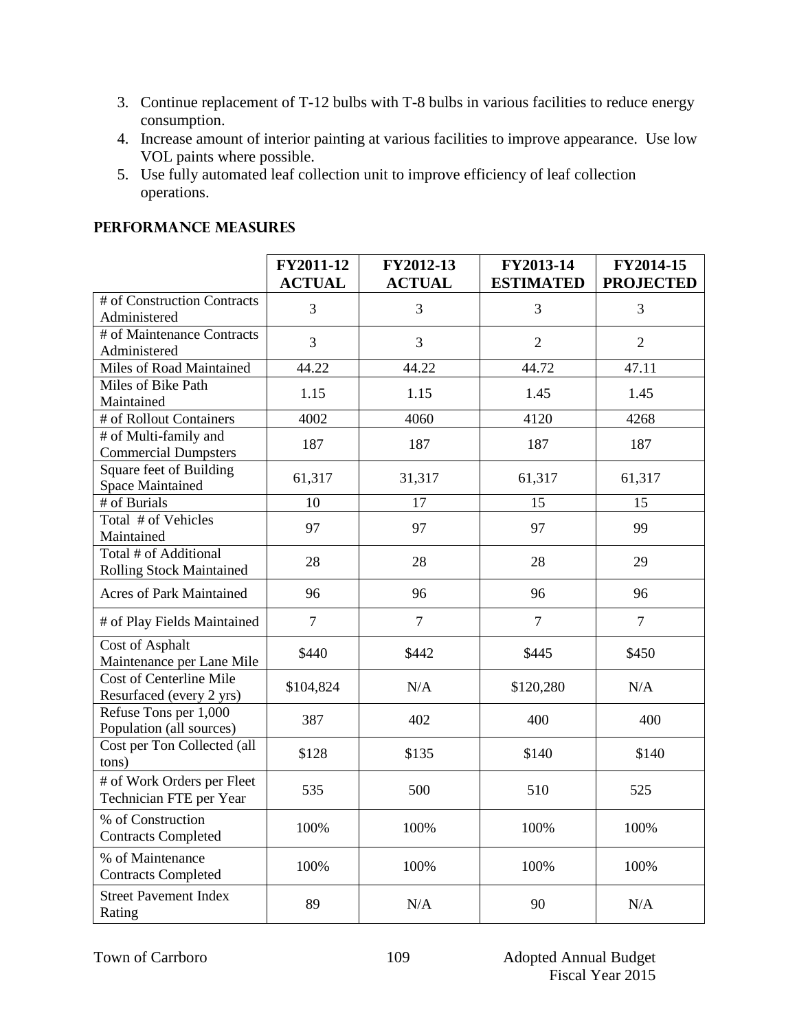- 3. Continue replacement of T-12 bulbs with T-8 bulbs in various facilities to reduce energy consumption.
- 4. Increase amount of interior painting at various facilities to improve appearance. Use low VOL paints where possible.
- 5. Use fully automated leaf collection unit to improve efficiency of leaf collection operations.

|  |  | <b>PERFORMANCE MEASURES</b> |
|--|--|-----------------------------|
|  |  |                             |

|                                                   | FY2011-12      | FY2012-13      | FY2013-14        | FY2014-15        |
|---------------------------------------------------|----------------|----------------|------------------|------------------|
|                                                   | <b>ACTUAL</b>  | <b>ACTUAL</b>  | <b>ESTIMATED</b> | <b>PROJECTED</b> |
| # of Construction Contracts                       | 3              | 3              | 3                | 3                |
| Administered                                      |                |                |                  |                  |
| # of Maintenance Contracts                        | 3              | 3              | $\overline{2}$   | $\overline{2}$   |
| Administered                                      |                |                |                  |                  |
| Miles of Road Maintained<br>Miles of Bike Path    | 44.22          | 44.22          | 44.72            | 47.11            |
| Maintained                                        | 1.15           | 1.15           | 1.45             | 1.45             |
| # of Rollout Containers                           | 4002           | 4060           | 4120             | 4268             |
| # of Multi-family and                             |                |                |                  |                  |
| <b>Commercial Dumpsters</b>                       | 187            | 187            | 187              | 187              |
| Square feet of Building                           | 61,317         | 31,317         | 61,317           | 61,317           |
| <b>Space Maintained</b>                           |                |                |                  |                  |
| # of Burials                                      | 10             | 17             | 15               | 15               |
| Total # of Vehicles                               | 97             | 97             | 97               | 99               |
| Maintained<br>Total # of Additional               |                |                |                  |                  |
| <b>Rolling Stock Maintained</b>                   | 28             | 28             | 28               | 29               |
|                                                   |                |                |                  |                  |
| <b>Acres of Park Maintained</b>                   | 96             | 96             | 96               | 96               |
| # of Play Fields Maintained                       | $\overline{7}$ | $\overline{7}$ | $\overline{7}$   | $\overline{7}$   |
| <b>Cost of Asphalt</b>                            | \$440          | \$442          | \$445            | \$450            |
| Maintenance per Lane Mile                         |                |                |                  |                  |
| <b>Cost of Centerline Mile</b>                    | \$104,824      | N/A            | \$120,280        | N/A              |
| Resurfaced (every 2 yrs)<br>Refuse Tons per 1,000 |                |                |                  |                  |
| Population (all sources)                          | 387            | 402            | 400              | 400              |
| Cost per Ton Collected (all                       | \$128          | \$135          | \$140            | \$140            |
| tons)                                             |                |                |                  |                  |
| # of Work Orders per Fleet                        | 535            | 500            | 510              | 525              |
| Technician FTE per Year                           |                |                |                  |                  |
| % of Construction                                 | 100%           | 100%           | 100%             | 100%             |
| <b>Contracts Completed</b>                        |                |                |                  |                  |
| % of Maintenance                                  | 100%           | 100%           | 100%             | 100%             |
| <b>Contracts Completed</b>                        |                |                |                  |                  |
| <b>Street Pavement Index</b>                      | 89             | N/A            | 90               | N/A              |
| Rating                                            |                |                |                  |                  |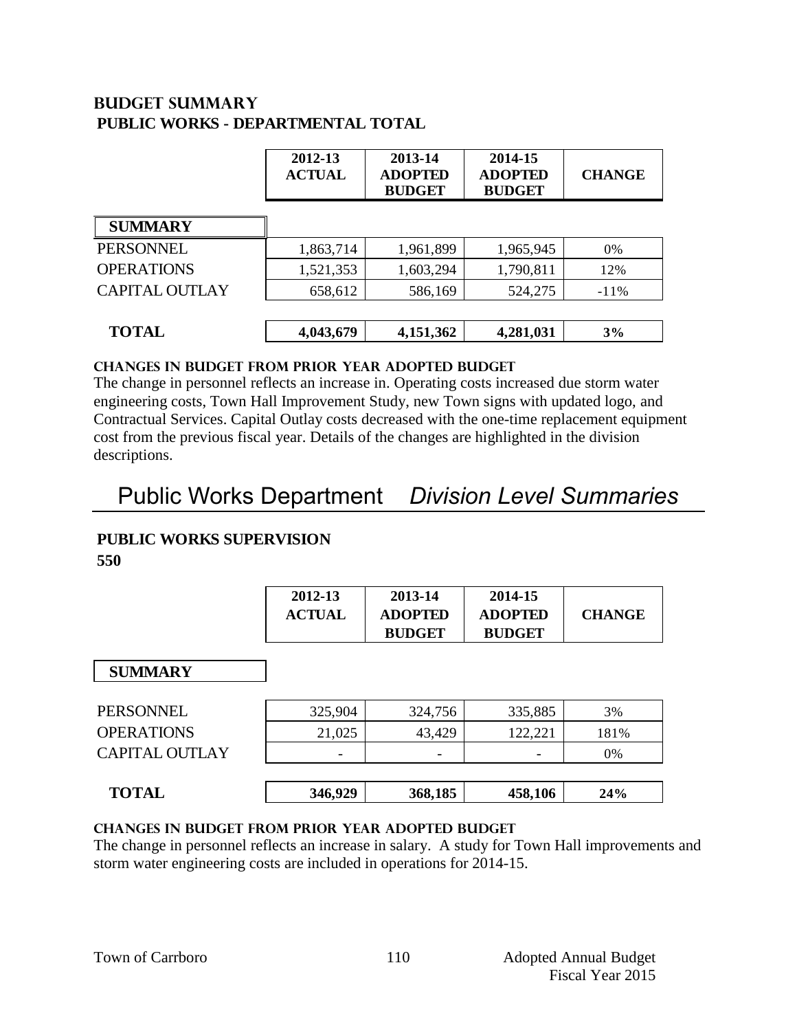## **Budget summary PUBLIC WORKS - DEPARTMENTAL TOTAL**

|                       | 2012-13<br><b>ACTUAL</b> | 2013-14<br><b>ADOPTED</b><br><b>BUDGET</b> | 2014-15<br><b>ADOPTED</b><br><b>BUDGET</b> | <b>CHANGE</b> |
|-----------------------|--------------------------|--------------------------------------------|--------------------------------------------|---------------|
| <b>SUMMARY</b>        |                          |                                            |                                            |               |
| PERSONNEL             | 1,863,714                | 1,961,899                                  | 1,965,945                                  | 0%            |
| <b>OPERATIONS</b>     | 1,521,353                | 1,603,294                                  | 1,790,811                                  | 12%           |
| <b>CAPITAL OUTLAY</b> | 658,612                  | 586,169                                    | 524,275                                    | $-11\%$       |
| <b>TOTAL</b>          | 4,043,679                | 4,151,362                                  | 4,281,031                                  | 3%            |

### **CHANGES IN BUDGET from PRIOR YEAR ADOPTED BUDGET**

The change in personnel reflects an increase in. Operating costs increased due storm water engineering costs, Town Hall Improvement Study, new Town signs with updated logo, and Contractual Services. Capital Outlay costs decreased with the one-time replacement equipment cost from the previous fiscal year. Details of the changes are highlighted in the division descriptions.

## Public Works Department *Division Level Summaries*

## **PUBLIC WORKS SUPERVISION**

**550**

| 2012-13       | 2013-14        | 2014-15        |               |
|---------------|----------------|----------------|---------------|
| <b>ACTUAL</b> | <b>ADOPTED</b> | <b>ADOPTED</b> | <b>CHANGE</b> |
|               | <b>BUDGET</b>  | <b>BUDGET</b>  |               |

#### **SUMMARY**

| <b>SUMMARY</b>        |         |         |         |      |
|-----------------------|---------|---------|---------|------|
| PERSONNEL             | 325,904 | 324,756 | 335,885 | 3%   |
| <b>OPERATIONS</b>     | 21,025  | 43,429  | 122,221 | 181% |
| <b>CAPITAL OUTLAY</b> | -       | -       | -       | 0%   |
|                       |         |         |         |      |
| <b>TOTAL</b>          | 346,929 | 368,185 | 458,106 | 24%  |

#### **changes in budget from prior year adopted budget**

The change in personnel reflects an increase in salary. A study for Town Hall improvements and storm water engineering costs are included in operations for 2014-15.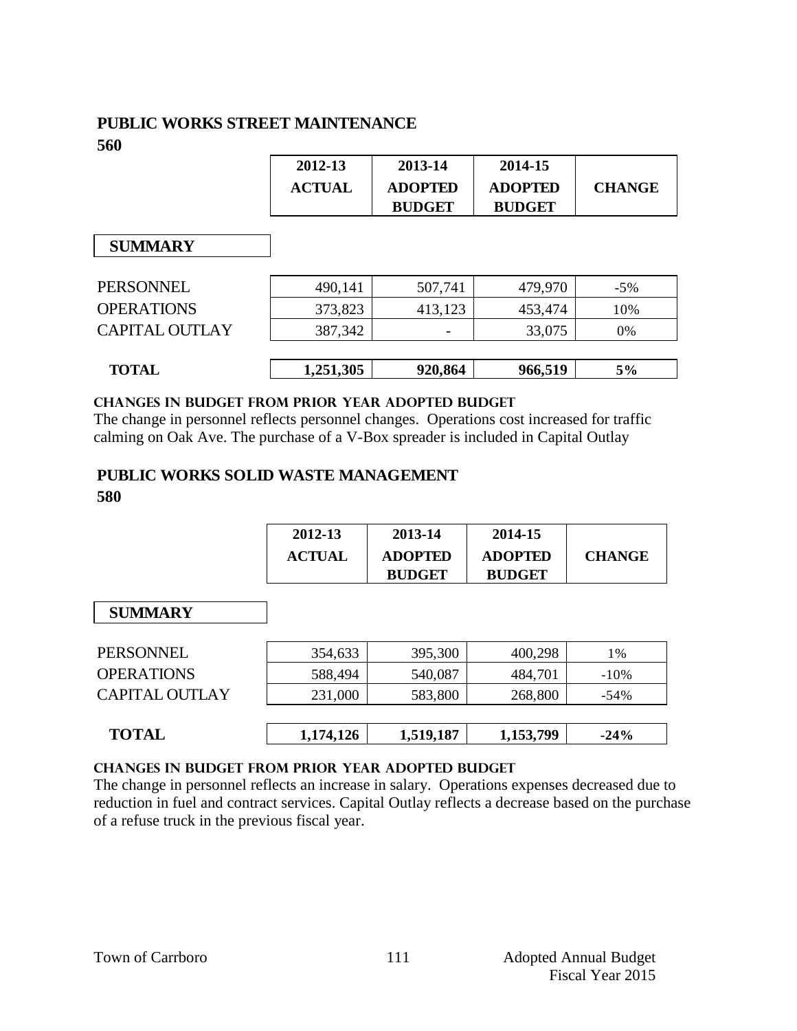## **PUBLIC WORKS STREET MAINTENANCE 560**

| 2012-13 | 2013-14        | 2014-15        |               |
|---------|----------------|----------------|---------------|
| ACTUAL  | <b>ADOPTED</b> | <b>ADOPTED</b> | <b>CHANGE</b> |
|         | <b>BUDGET</b>  | <b>BUDGET</b>  |               |

 **SUMMARY**

| PERSONNEL<br><b>OPERATIONS</b> | 490,141<br>373,823 | 507,741<br>413,123 | 479,970<br>453,474 | $-5\%$<br>10% |
|--------------------------------|--------------------|--------------------|--------------------|---------------|
| <b>CAPITAL OUTLAY</b>          | 387,342            | -                  | 33,075             | 0%            |
| <b>TOTAL</b>                   | 1,251,305          | 920,864            | 966,519            | 5%            |

### **Changes in budget from prior year adopted budget**

The change in personnel reflects personnel changes. Operations cost increased for traffic calming on Oak Ave. The purchase of a V-Box spreader is included in Capital Outlay

## **PUBLIC WORKS SOLID WASTE MANAGEMENT 580**

| 2012-13       | 2013-14        | 2014-15        |               |
|---------------|----------------|----------------|---------------|
| <b>ACTUAL</b> | <b>ADOPTED</b> | <b>ADOPTED</b> | <b>CHANGE</b> |
|               | <b>BUDGET</b>  | <b>BUDGET</b>  |               |

| <b>SUMMARY</b>        |           |           |           |         |
|-----------------------|-----------|-----------|-----------|---------|
| <b>PERSONNEL</b>      | 354,633   | 395,300   | 400,298   | 1%      |
| <b>OPERATIONS</b>     | 588,494   | 540,087   | 484,701   | $-10\%$ |
| <b>CAPITAL OUTLAY</b> | 231,000   | 583,800   | 268,800   | $-54\%$ |
| <b>TOTAL</b>          | 1,174,126 | 1,519,187 | 1,153,799 | $-24%$  |

## **changes in budget from prior year adopted budget**

The change in personnel reflects an increase in salary. Operations expenses decreased due to reduction in fuel and contract services. Capital Outlay reflects a decrease based on the purchase of a refuse truck in the previous fiscal year.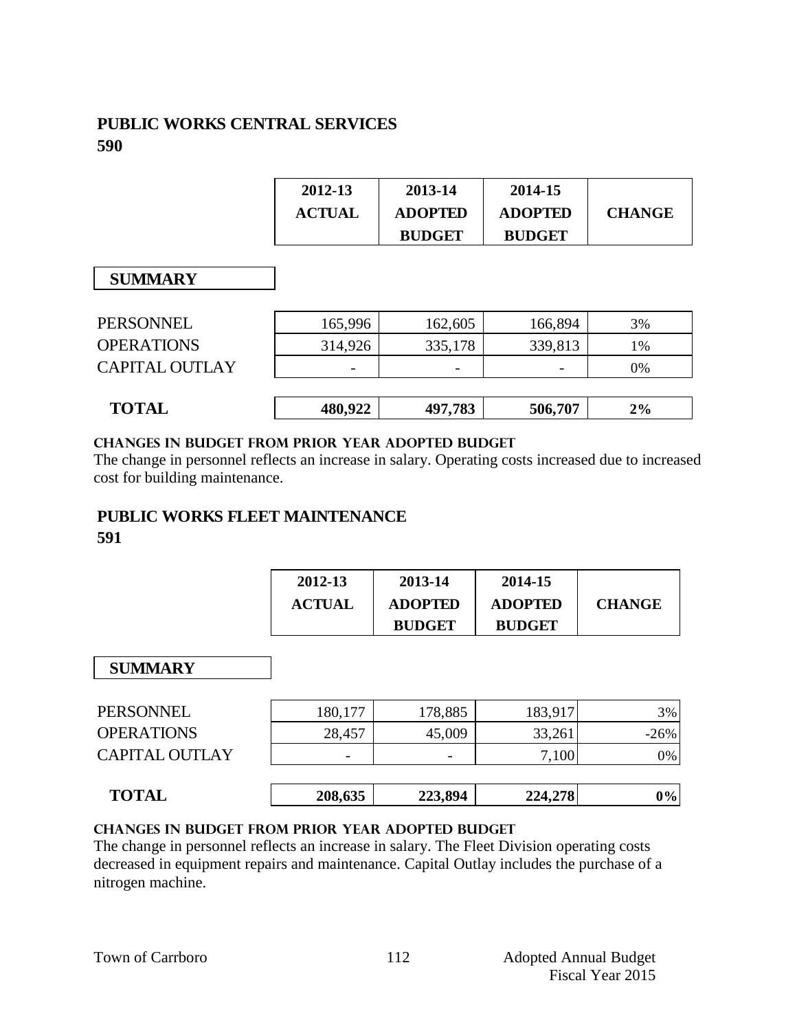## **PUBLIC WORKS CENTRAL SERVICES 590**

| 2012-13       | 2013-14        | 2014-15        |               |
|---------------|----------------|----------------|---------------|
| <b>ACTUAL</b> | <b>ADOPTED</b> | <b>ADOPTED</b> | <b>CHANGE</b> |
|               | <b>BUDGET</b>  | <b>BUDGET</b>  |               |

## **SUMMARY**

| <b>SUMMARY</b>        |         |         |         |    |
|-----------------------|---------|---------|---------|----|
| PERSONNEL             | 165,996 | 162,605 | 166,894 | 3% |
| <b>OPERATIONS</b>     | 314,926 | 335,178 | 339,813 | 1% |
| <b>CAPITAL OUTLAY</b> | -       |         |         | 0% |
|                       |         |         |         |    |
| <b>TOTAL</b>          | 480,922 | 497,783 | 506,707 | 2% |

### **changes in budget from prior year adopted budget**

The change in personnel reflects an increase in salary. Operating costs increased due to increased cost for building maintenance.

## **PUBLIC WORKS FLEET MAINTENANCE**

### **591**

| 2012-13       | 2013-14        | 2014-15        |               |
|---------------|----------------|----------------|---------------|
| <b>ACTUAL</b> | <b>ADOPTED</b> | <b>ADOPTED</b> | <b>CHANGE</b> |
|               | <b>BUDGET</b>  | <b>BUDGET</b>  |               |

## **SUMMARY**

| 180,177 | 178,885 | 183,917 | 3%     |
|---------|---------|---------|--------|
| 28,457  | 45,009  | 33,261  | $-26%$ |
|         |         | 7,100   | 0%     |
|         |         |         |        |
| 208,635 | 223,894 | 224,278 | $0\%$  |
|         |         |         |        |

#### **changes in budget from prior year adopted budget**

The change in personnel reflects an increase in salary. The Fleet Division operating costs decreased in equipment repairs and maintenance. Capital Outlay includes the purchase of a nitrogen machine.